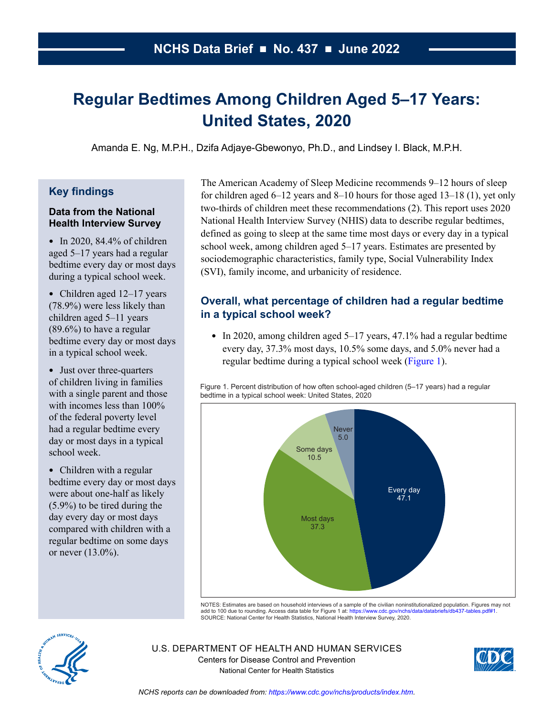# **Regular Bedtimes Among Children Aged 5–17 Years: United States, 2020**

Amanda E. Ng, M.P.H., Dzifa Adjaye-Gbewonyo, Ph.D., and Lindsey I. Black, M.P.H.

# **Key findings**

#### **Data from the National Health Interview Survey**

• In 2020,  $84.4\%$  of children aged 5–17 years had a regular bedtime every day or most days during a typical school week.

- Children aged 12–17 years (78.9%) were less likely than children aged 5–11 years (89.6%) to have a regular bedtime every day or most days in a typical school week.
- Just over three-quarters of children living in families with a single parent and those with incomes less than 100% of the federal poverty level had a regular bedtime every day or most days in a typical school week.
- Children with a regular bedtime every day or most days were about one-half as likely (5.9%) to be tired during the day every day or most days compared with children with a regular bedtime on some days or never (13.0%).

The American Academy of Sleep Medicine recommends 9–12 hours of sleep for children aged 6–12 years and 8–10 hours for those aged 13–18 (1), yet only two-thirds of children meet these recommendations (2). This report uses 2020 National Health Interview Survey (NHIS) data to describe regular bedtimes, defined as going to sleep at the same time most days or every day in a typical school week, among children aged 5–17 years. Estimates are presented by sociodemographic characteristics, family type, Social Vulnerability Index (SVI), family income, and urbanicity of residence.

# **Overall, what percentage of children had a regular bedtime in a typical school week?**

• In 2020, among children aged  $5-17$  years, 47.1% had a regular bedtime every day, 37.3% most days, 10.5% some days, and 5.0% never had a regular bedtime during a typical school week (Figure 1).

Figure 1. Percent distribution of how often school-aged children (5–17 years) had a regular bedtime in a typical school week: United States, 2020



NOTES: Estimates are based on household interviews of a sample of the civilian noninstitutionalized population. Figures may not<br>add to 100 due to rounding. Access data table for Figure 1 at: https://www.cdc.gov/nchs/data/d add to 100 due to rounding. Access data table for Figure 1 at: https://www.cdc.gov/nchs/data/databrief SOURCE: National Center for Health Statistics, National Health Interview Survey, 2020.



U.S. DEPARTMENT OF HEALTH AND HUMAN SERVICES Centers for Disease Control and Prevention National Center for Health Statistics

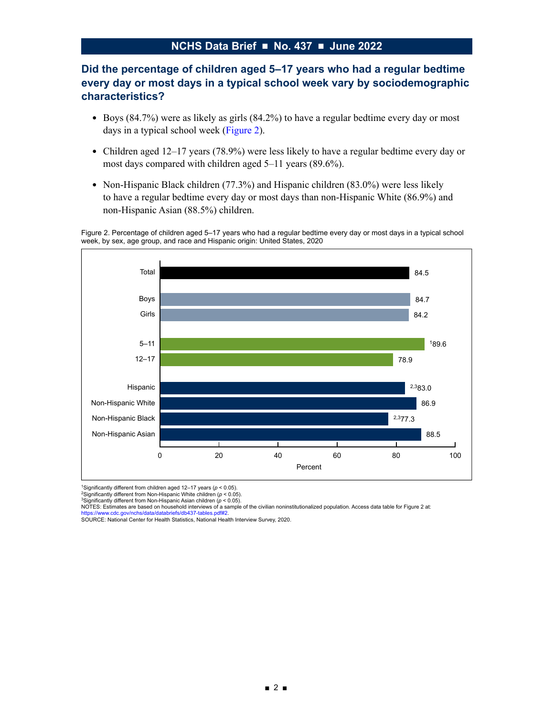# **Did the percentage of children aged 5–17 years who had a regular bedtime every day or most days in a typical school week vary by sociodemographic characteristics?**

- Boys (84.7%) were as likely as girls (84.2%) to have a regular bedtime every day or most days in a typical school week (Figure 2).
- Children aged 12–17 years (78.9%) were less likely to have a regular bedtime every day or most days compared with children aged 5–11 years (89.6%).
- Non-Hispanic Black children (77.3%) and Hispanic children (83.0%) were less likely to have a regular bedtime every day or most days than non-Hispanic White (86.9%) and non-Hispanic Asian (88.5%) children.

Figure 2. Percentage of children aged 5–17 years who had a regular bedtime every day or most days in a typical school week, by sex, age group, and race and Hispanic origin: United States, 2020



1Significantly different from children aged 12–17 years (*p* < 0.05).

2Significantly different from Non-Hispanic White children (*p* < 0.05). 3Significantly different from Non-Hispanic Asian children (*p* < 0.05).

NOTES: Estimates are based on household interviews of a sample of the civilian noninstitutionalized population. Access data table for Figure 2 at:

[https://www.cdc.gov/nchs/data/databriefs/db437-tables.pdf#2.](https://www.cdc.gov/nchs/data/databriefs/db437-tables.pdf#2) SOURCE: National Center for Health Statistics, National Health Interview Survey, 2020.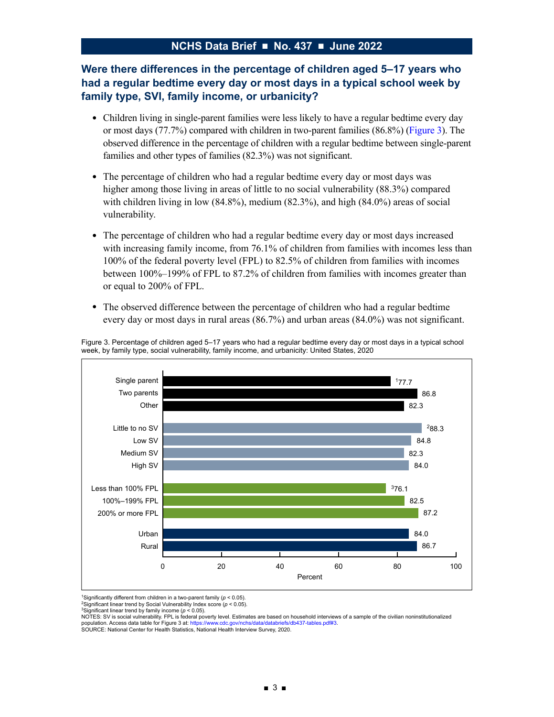# **Were there differences in the percentage of children aged 5–17 years who had a regular bedtime every day or most days in a typical school week by family type, SVI, family income, or urbanicity?**

- Children living in single-parent families were less likely to have a regular bedtime every day or most days (77.7%) compared with children in two-parent families (86.8%) (Figure 3). The observed difference in the percentage of children with a regular bedtime between single-parent families and other types of families (82.3%) was not significant.
- The percentage of children who had a regular bedtime every day or most days was higher among those living in areas of little to no social vulnerability (88.3%) compared with children living in low (84.8%), medium (82.3%), and high (84.0%) areas of social vulnerability.
- The percentage of children who had a regular bedtime every day or most days increased with increasing family income, from 76.1% of children from families with incomes less than 100% of the federal poverty level (FPL) to 82.5% of children from families with incomes between 100%–199% of FPL to 87.2% of children from families with incomes greater than or equal to 200% of FPL.
- The observed difference between the percentage of children who had a regular bedtime every day or most days in rural areas (86.7%) and urban areas (84.0%) was not significant.



Figure 3. Percentage of children aged 5–17 years who had a regular bedtime every day or most days in a typical school week, by family type, social vulnerability, family income, and urbanicity: United States, 2020

<sup>1</sup>Significantly different from children in a two-parent family ( $p < 0.05$ ).

<sup>3</sup>Significant linear trend by family income (*p* < 0.05).<br>NOTES: SV is social vulnerability. FPL is federal poverty level. Estimates are based on household interviews of a sample of the civilian noninstitutionalized population. Access data table for Figure 3 at:<https://www.cdc.gov/nchs/data/databriefs/db437-tables.pdf#3>.<br>SOURCE: National Center for Health Statistics, National Health Interview Survey, 2020.

<sup>&</sup>lt;sup>2</sup>Significant linear trend by Social Vulnerability Index score  $(p < 0.05)$ .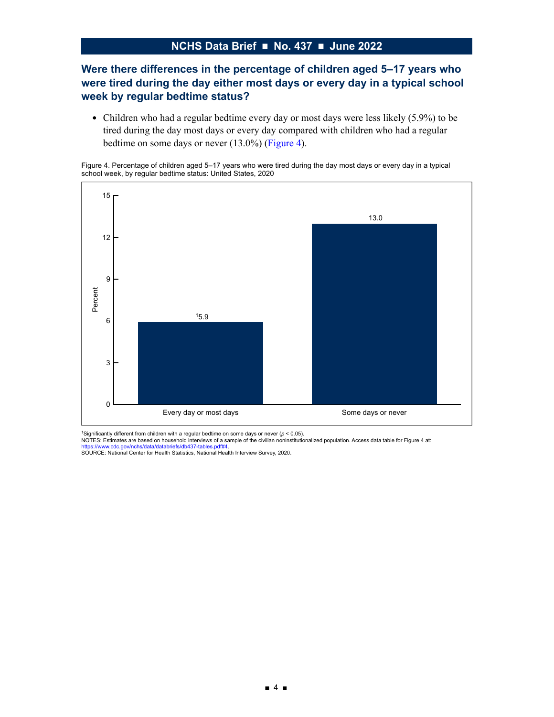# **Were there differences in the percentage of children aged 5–17 years who were tired during the day either most days or every day in a typical school week by regular bedtime status?**

• Children who had a regular bedtime every day or most days were less likely (5.9%) to be tired during the day most days or every day compared with children who had a regular bedtime on some days or never (13.0%) (Figure 4).

Figure 4. Percentage of children aged 5–17 years who were tired during the day most days or every day in a typical school week, by regular bedtime status: United States, 2020



<sup>1</sup>Significantly different from children with a regular bedtime on some days or never (ρ < 0.05).<br>NOTES: Estimates are based on household interviews of a sample of the civilian noninstitutionalized population. Access data

<https://www.cdc.gov/nchs/data/databriefs/db437-tables.pdf#4>.<br>SOURCE: National Center for Health Statistics, National Health Interview Survey, 2020.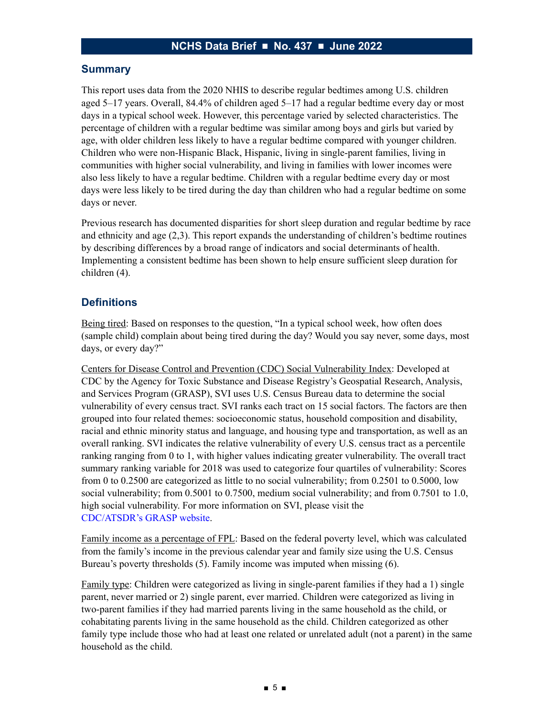#### **Summary**

This report uses data from the 2020 NHIS to describe regular bedtimes among U.S. children aged 5–17 years. Overall, 84.4% of children aged 5–17 had a regular bedtime every day or most days in a typical school week. However, this percentage varied by selected characteristics. The percentage of children with a regular bedtime was similar among boys and girls but varied by age, with older children less likely to have a regular bedtime compared with younger children. Children who were non-Hispanic Black, Hispanic, living in single-parent families, living in communities with higher social vulnerability, and living in families with lower incomes were also less likely to have a regular bedtime. Children with a regular bedtime every day or most days were less likely to be tired during the day than children who had a regular bedtime on some days or never.

Previous research has documented disparities for short sleep duration and regular bedtime by race and ethnicity and age (2,3). This report expands the understanding of children's bedtime routines by describing differences by a broad range of indicators and social determinants of health. Implementing a consistent bedtime has been shown to help ensure sufficient sleep duration for children (4).

#### **Definitions**

Being tired: Based on responses to the question, "In a typical school week, how often does (sample child) complain about being tired during the day? Would you say never, some days, most days, or every day?"

Centers for Disease Control and Prevention (CDC) Social Vulnerability Index: Developed at CDC by the Agency for Toxic Substance and Disease Registry's Geospatial Research, Analysis, and Services Program (GRASP), SVI uses U.S. Census Bureau data to determine the social vulnerability of every census tract. SVI ranks each tract on 15 social factors. The factors are then grouped into four related themes: socioeconomic status, household composition and disability, racial and ethnic minority status and language, and housing type and transportation, as well as an overall ranking. SVI indicates the relative vulnerability of every U.S. census tract as a percentile ranking ranging from 0 to 1, with higher values indicating greater vulnerability. The overall tract summary ranking variable for 2018 was used to categorize four quartiles of vulnerability: Scores from 0 to 0.2500 are categorized as little to no social vulnerability; from 0.2501 to 0.5000, low social vulnerability; from 0.5001 to 0.7500, medium social vulnerability; and from 0.7501 to 1.0, high social vulnerability. For more information on SVI, please visit the [CDC/ATSDR's GRASP website](https://www.atsdr.cdc.gov/placeandhealth/getting_to_know_grasp.html).

Family income as a percentage of FPL: Based on the federal poverty level, which was calculated from the family's income in the previous calendar year and family size using the U.S. Census Bureau's poverty thresholds (5). Family income was imputed when missing (6).

Family type: Children were categorized as living in single-parent families if they had a 1) single parent, never married or 2) single parent, ever married. Children were categorized as living in two-parent families if they had married parents living in the same household as the child, or cohabitating parents living in the same household as the child. Children categorized as other family type include those who had at least one related or unrelated adult (not a parent) in the same household as the child.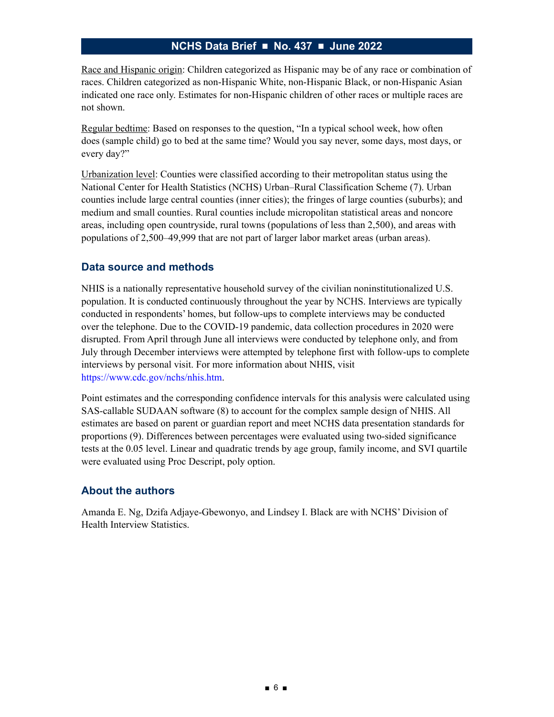Race and Hispanic origin: Children categorized as Hispanic may be of any race or combination of races. Children categorized as non-Hispanic White, non-Hispanic Black, or non-Hispanic Asian indicated one race only. Estimates for non-Hispanic children of other races or multiple races are not shown.

Regular bedtime: Based on responses to the question, "In a typical school week, how often does (sample child) go to bed at the same time? Would you say never, some days, most days, or every day?"

Urbanization level: Counties were classified according to their metropolitan status using the National Center for Health Statistics (NCHS) Urban–Rural Classification Scheme (7). Urban counties include large central counties (inner cities); the fringes of large counties (suburbs); and medium and small counties. Rural counties include micropolitan statistical areas and noncore areas, including open countryside, rural towns (populations of less than 2,500), and areas with populations of 2,500–49,999 that are not part of larger labor market areas (urban areas).

#### **Data source and methods**

NHIS is a nationally representative household survey of the civilian noninstitutionalized U.S. population. It is conducted continuously throughout the year by NCHS. Interviews are typically conducted in respondents' homes, but follow-ups to complete interviews may be conducted over the telephone. Due to the COVID-19 pandemic, data collection procedures in 2020 were disrupted. From April through June all interviews were conducted by telephone only, and from July through December interviews were attempted by telephone first with follow-ups to complete interviews by personal visit. For more information about NHIS, visit <https://www.cdc.gov/nchs/nhis.htm>.

Point estimates and the corresponding confidence intervals for this analysis were calculated using SAS-callable SUDAAN software (8) to account for the complex sample design of NHIS. All estimates are based on parent or guardian report and meet NCHS data presentation standards for proportions (9). Differences between percentages were evaluated using two-sided significance tests at the 0.05 level. Linear and quadratic trends by age group, family income, and SVI quartile were evaluated using Proc Descript, poly option.

## **About the authors**

Amanda E. Ng, Dzifa Adjaye-Gbewonyo, and Lindsey I. Black are with NCHS' Division of Health Interview Statistics.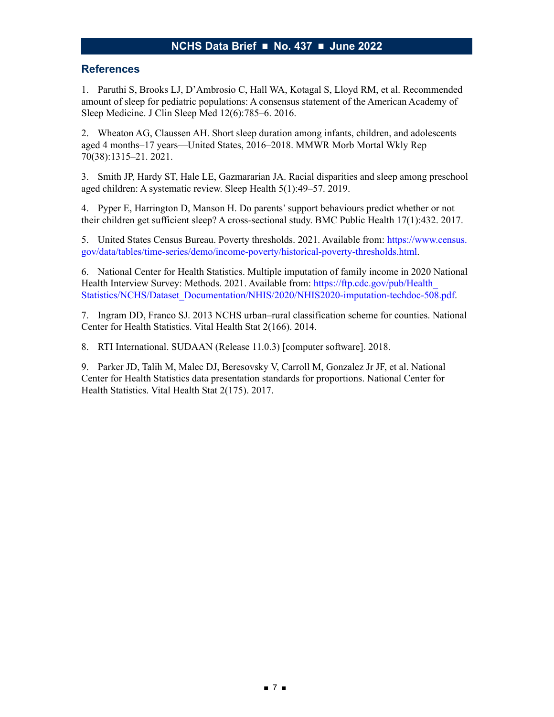#### **References**

1. Paruthi S, Brooks LJ, D'Ambrosio C, Hall WA, Kotagal S, Lloyd RM, et al. Recommended amount of sleep for pediatric populations: A consensus statement of the American Academy of Sleep Medicine. J Clin Sleep Med 12(6):785–6. 2016.

2. Wheaton AG, Claussen AH. Short sleep duration among infants, children, and adolescents aged 4 months–17 years—United States, 2016–2018. MMWR Morb Mortal Wkly Rep 70(38):1315–21. 2021.

3. Smith JP, Hardy ST, Hale LE, Gazmararian JA. Racial disparities and sleep among preschool aged children: A systematic review. Sleep Health 5(1):49–57. 2019.

4. Pyper E, Harrington D, Manson H. Do parents' support behaviours predict whether or not their children get sufficient sleep? A cross-sectional study. BMC Public Health 17(1):432. 2017.

5. United States Census Bureau. Poverty thresholds. 2021. Available from: [https://www.census.](https://www.census.gov/data/tables/time-series/demo/income-poverty/historical-poverty-thresholds.html) [gov/data/tables/time-series/demo/income-poverty/historical-poverty-thresholds.html](https://www.census.gov/data/tables/time-series/demo/income-poverty/historical-poverty-thresholds.html).

6. National Center for Health Statistics. Multiple imputation of family income in 2020 National Health Interview Survey: Methods. 2021. Available from: https://ftp.cdc.gov/pub/Health [Statistics/NCHS/Dataset\\_Documentation/NHIS/2020/NHIS2020-imputation-techdoc-508.pdf.](https://ftp.cdc.gov/pub/Health_Statistics/NCHS/Dataset_Documentation/NHIS/2020/NHIS2020-imputation-techdoc-508.pdf)

7. Ingram DD, Franco SJ. 2013 NCHS urban–rural classification scheme for counties. National Center for Health Statistics. Vital Health Stat 2(166). 2014.

8. RTI International. SUDAAN (Release 11.0.3) [computer software]. 2018.

9. Parker JD, Talih M, Malec DJ, Beresovsky V, Carroll M, Gonzalez Jr JF, et al. National Center for Health Statistics data presentation standards for proportions. National Center for Health Statistics. Vital Health Stat 2(175). 2017.